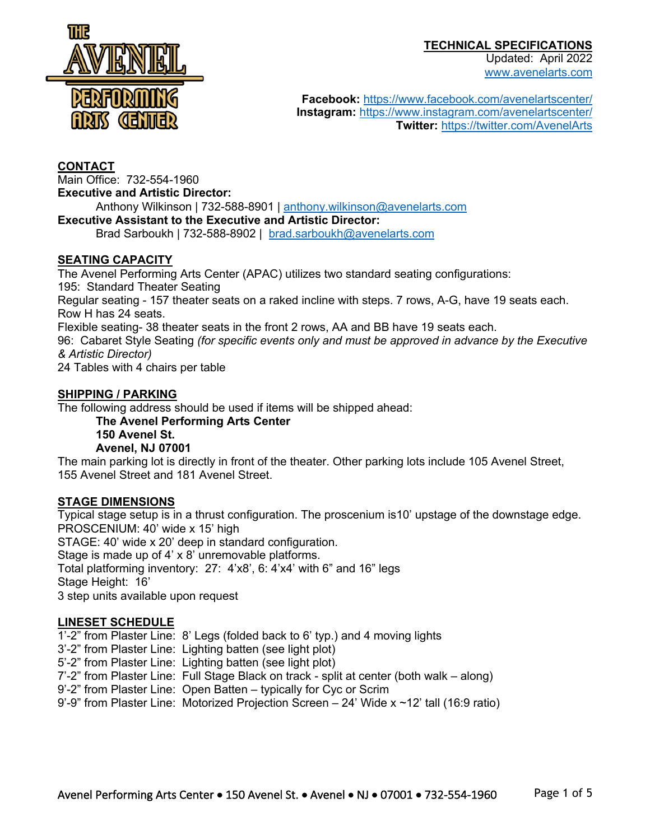Updated: April 2022



www.avenelarts.com

**Facebook:** https://www.facebook.com/avenelartscenter/ **Instagram:** https://www.instagram.com/avenelartscenter/ **Twitter:** https://twitter.com/AvenelArts

# **CONTACT**

Main Office: 732-554-1960 **Executive and Artistic Director:**

Anthony Wilkinson | 732-588-8901 | anthony.wilkinson@avenelarts.com

#### **Executive Assistant to the Executive and Artistic Director:**

Brad Sarboukh | 732-588-8902 | brad.sarboukh@avenelarts.com

### **SEATING CAPACITY**

The Avenel Performing Arts Center (APAC) utilizes two standard seating configurations: 195: Standard Theater Seating Regular seating - 157 theater seats on a raked incline with steps. 7 rows, A-G, have 19 seats each. Row H has 24 seats. Flexible seating- 38 theater seats in the front 2 rows, AA and BB have 19 seats each. 96: Cabaret Style Seating *(for specific events only and must be approved in advance by the Executive & Artistic Director)*

24 Tables with 4 chairs per table

#### **SHIPPING / PARKING**

The following address should be used if items will be shipped ahead:

**The Avenel Performing Arts Center 150 Avenel St.**

#### **Avenel, NJ 07001**

The main parking lot is directly in front of the theater. Other parking lots include 105 Avenel Street, 155 Avenel Street and 181 Avenel Street.

### **STAGE DIMENSIONS**

Typical stage setup is in a thrust configuration. The proscenium is10' upstage of the downstage edge. PROSCENIUM: 40' wide x 15' high STAGE: 40' wide x 20' deep in standard configuration. Stage is made up of 4' x 8' unremovable platforms. Total platforming inventory: 27: 4'x8', 6: 4'x4' with 6" and 16" legs Stage Height: 16' 3 step units available upon request

#### **LINESET SCHEDULE**

1'-2" from Plaster Line: 8' Legs (folded back to 6' typ.) and 4 moving lights

3'-2" from Plaster Line: Lighting batten (see light plot)

5'-2" from Plaster Line: Lighting batten (see light plot)

7'-2" from Plaster Line: Full Stage Black on track - split at center (both walk – along)

9'-2" from Plaster Line: Open Batten – typically for Cyc or Scrim

9'-9" from Plaster Line: Motorized Projection Screen – 24' Wide x ~12' tall (16:9 ratio)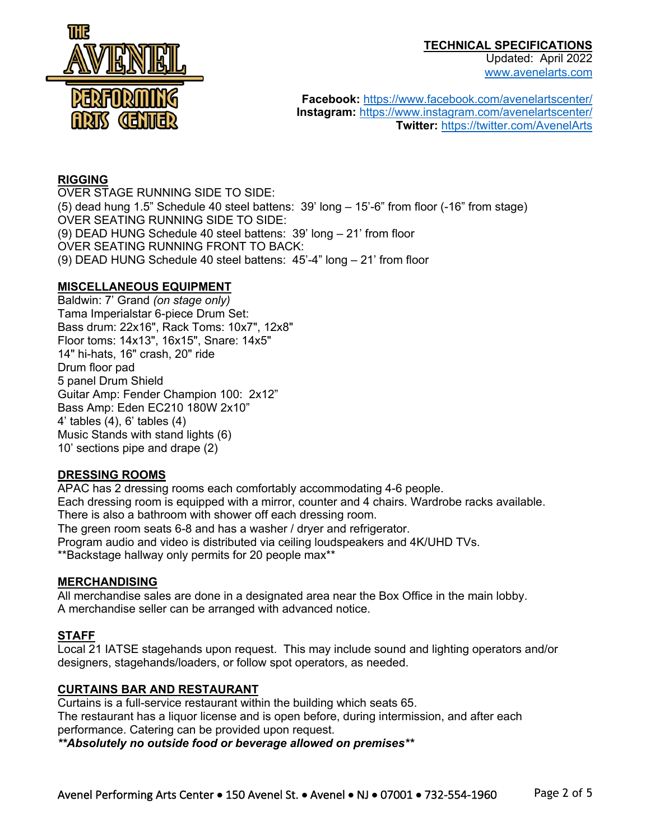

Updated: April 2022 www.avenelarts.com

**Facebook:** https://www.facebook.com/avenelartscenter/ **Instagram:** https://www.instagram.com/avenelartscenter/ **Twitter:** https://twitter.com/AvenelArts

## **RIGGING**

OVER STAGE RUNNING SIDE TO SIDE: (5) dead hung 1.5" Schedule 40 steel battens: 39' long – 15'-6" from floor (-16" from stage) OVER SEATING RUNNING SIDE TO SIDE: (9) DEAD HUNG Schedule 40 steel battens: 39' long – 21' from floor OVER SEATING RUNNING FRONT TO BACK: (9) DEAD HUNG Schedule 40 steel battens: 45'-4" long – 21' from floor

# **MISCELLANEOUS EQUIPMENT**

Baldwin: 7' Grand *(on stage only)* Tama Imperialstar 6-piece Drum Set: Bass drum: 22x16", Rack Toms: 10x7", 12x8" Floor toms: 14x13", 16x15", Snare: 14x5" 14" hi-hats, 16" crash, 20" ride Drum floor pad 5 panel Drum Shield Guitar Amp: Fender Champion 100: 2x12" Bass Amp: Eden EC210 180W 2x10" 4' tables (4), 6' tables (4) Music Stands with stand lights (6) 10' sections pipe and drape (2)

# **DRESSING ROOMS**

APAC has 2 dressing rooms each comfortably accommodating 4-6 people. Each dressing room is equipped with a mirror, counter and 4 chairs. Wardrobe racks available. There is also a bathroom with shower off each dressing room. The green room seats 6-8 and has a washer / dryer and refrigerator. Program audio and video is distributed via ceiling loudspeakers and 4K/UHD TVs. \*\*Backstage hallway only permits for 20 people max\*\*

### **MERCHANDISING**

All merchandise sales are done in a designated area near the Box Office in the main lobby. A merchandise seller can be arranged with advanced notice.

# **STAFF**

Local 21 IATSE stagehands upon request. This may include sound and lighting operators and/or designers, stagehands/loaders, or follow spot operators, as needed.

### **CURTAINS BAR AND RESTAURANT**

Curtains is a full-service restaurant within the building which seats 65. The restaurant has a liquor license and is open before, during intermission, and after each performance. Catering can be provided upon request.

*\*\*Absolutely no outside food or beverage allowed on premises\*\**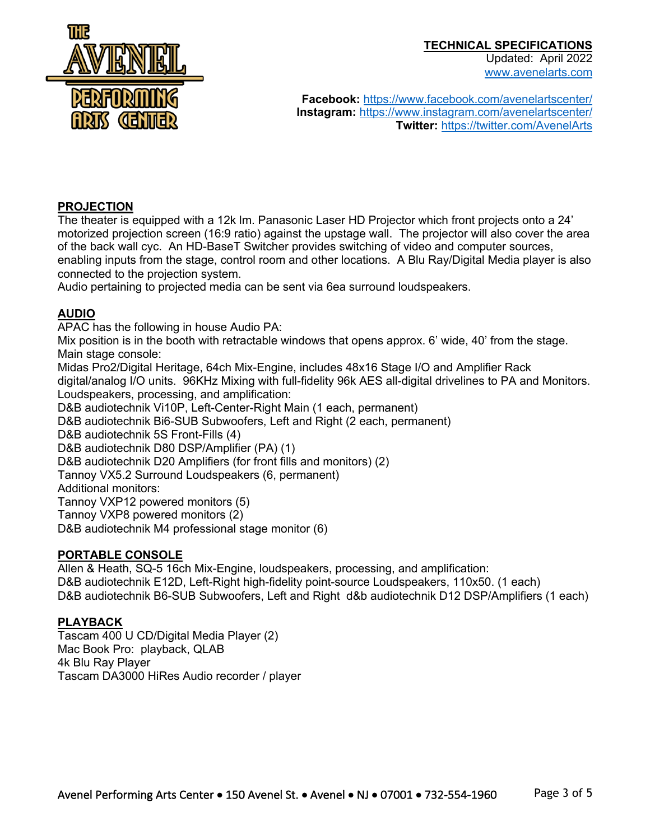

Updated: April 2022 www.avenelarts.com

**Facebook:** https://www.facebook.com/avenelartscenter/ **Instagram:** https://www.instagram.com/avenelartscenter/ **Twitter:** https://twitter.com/AvenelArts

#### **PROJECTION**

The theater is equipped with a 12k lm. Panasonic Laser HD Projector which front projects onto a 24' motorized projection screen (16:9 ratio) against the upstage wall. The projector will also cover the area of the back wall cyc. An HD-BaseT Switcher provides switching of video and computer sources, enabling inputs from the stage, control room and other locations. A Blu Ray/Digital Media player is also connected to the projection system.

Audio pertaining to projected media can be sent via 6ea surround loudspeakers.

# **AUDIO**

APAC has the following in house Audio PA:

Mix position is in the booth with retractable windows that opens approx. 6' wide, 40' from the stage. Main stage console:

Midas Pro2/Digital Heritage, 64ch Mix-Engine, includes 48x16 Stage I/O and Amplifier Rack digital/analog I/O units. 96KHz Mixing with full-fidelity 96k AES all-digital drivelines to PA and Monitors. Loudspeakers, processing, and amplification:

D&B audiotechnik Vi10P, Left-Center-Right Main (1 each, permanent)

D&B audiotechnik Bi6-SUB Subwoofers, Left and Right (2 each, permanent)

D&B audiotechnik 5S Front-Fills (4)

D&B audiotechnik D80 DSP/Amplifier (PA) (1)

D&B audiotechnik D20 Amplifiers (for front fills and monitors) (2)

Tannoy VX5.2 Surround Loudspeakers (6, permanent)

Additional monitors:

Tannoy VXP12 powered monitors (5)

Tannoy VXP8 powered monitors (2)

D&B audiotechnik M4 professional stage monitor (6)

### **PORTABLE CONSOLE**

Allen & Heath, SQ-5 16ch Mix-Engine, loudspeakers, processing, and amplification: D&B audiotechnik E12D, Left-Right high-fidelity point-source Loudspeakers, 110x50. (1 each) D&B audiotechnik B6-SUB Subwoofers, Left and Right d&b audiotechnik D12 DSP/Amplifiers (1 each)

### **PLAYBACK**

Tascam 400 U CD/Digital Media Player (2) Mac Book Pro: playback, QLAB 4k Blu Ray Player Tascam DA3000 HiRes Audio recorder / player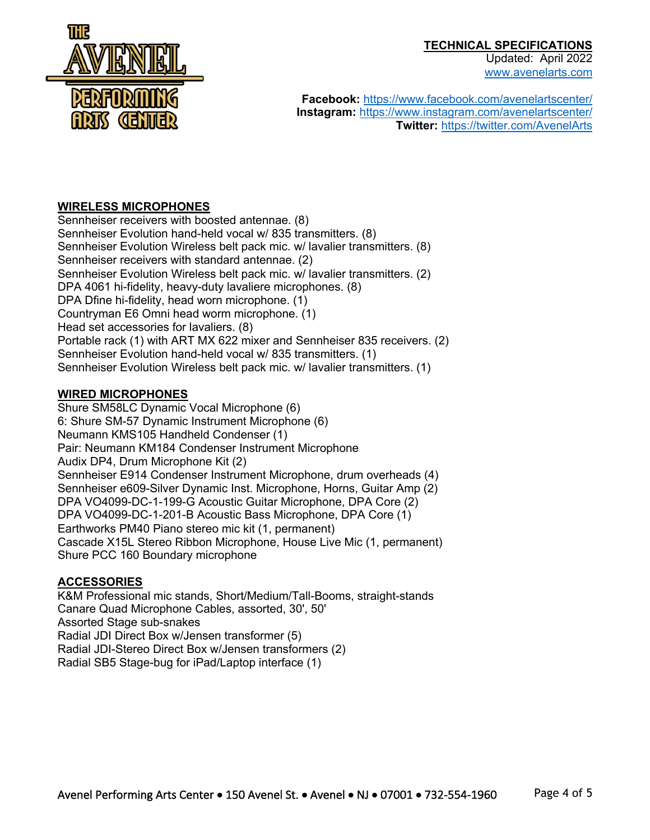

Updated: April 2022 www.avenelarts.com

**Facebook:** https://www.facebook.com/avenelartscenter/ **Instagram:** https://www.instagram.com/avenelartscenter/ **Twitter:** https://twitter.com/AvenelArts

# **WIRELESS MICROPHONES**

Sennheiser receivers with boosted antennae. (8) Sennheiser Evolution hand-held vocal w/ 835 transmitters. (8) Sennheiser Evolution Wireless belt pack mic. w/ lavalier transmitters. (8) Sennheiser receivers with standard antennae. (2) Sennheiser Evolution Wireless belt pack mic. w/ lavalier transmitters. (2) DPA 4061 hi-fidelity, heavy-duty lavaliere microphones. (8) DPA Dfine hi-fidelity, head worn microphone. (1) Countryman E6 Omni head worm microphone. (1) Head set accessories for lavaliers. (8) Portable rack (1) with ART MX 622 mixer and Sennheiser 835 receivers. (2) Sennheiser Evolution hand-held vocal w/ 835 transmitters. (1) Sennheiser Evolution Wireless belt pack mic. w/ lavalier transmitters. (1)

#### **WIRED MICROPHONES**

Shure SM58LC Dynamic Vocal Microphone (6) 6: Shure SM-57 Dynamic Instrument Microphone (6) Neumann KMS105 Handheld Condenser (1) Pair: Neumann KM184 Condenser Instrument Microphone Audix DP4, Drum Microphone Kit (2) Sennheiser E914 Condenser Instrument Microphone, drum overheads (4) Sennheiser e609-Silver Dynamic Inst. Microphone, Horns, Guitar Amp (2) DPA VO4099-DC-1-199-G Acoustic Guitar Microphone, DPA Core (2) DPA VO4099-DC-1-201-B Acoustic Bass Microphone, DPA Core (1) Earthworks PM40 Piano stereo mic kit (1, permanent) Cascade X15L Stereo Ribbon Microphone, House Live Mic (1, permanent) Shure PCC 160 Boundary microphone

### **ACCESSORIES**

K&M Professional mic stands, Short/Medium/Tall-Booms, straight-stands Canare Quad Microphone Cables, assorted, 30', 50' Assorted Stage sub-snakes Radial JDI Direct Box w/Jensen transformer (5) Radial JDI-Stereo Direct Box w/Jensen transformers (2) Radial SB5 Stage-bug for iPad/Laptop interface (1)